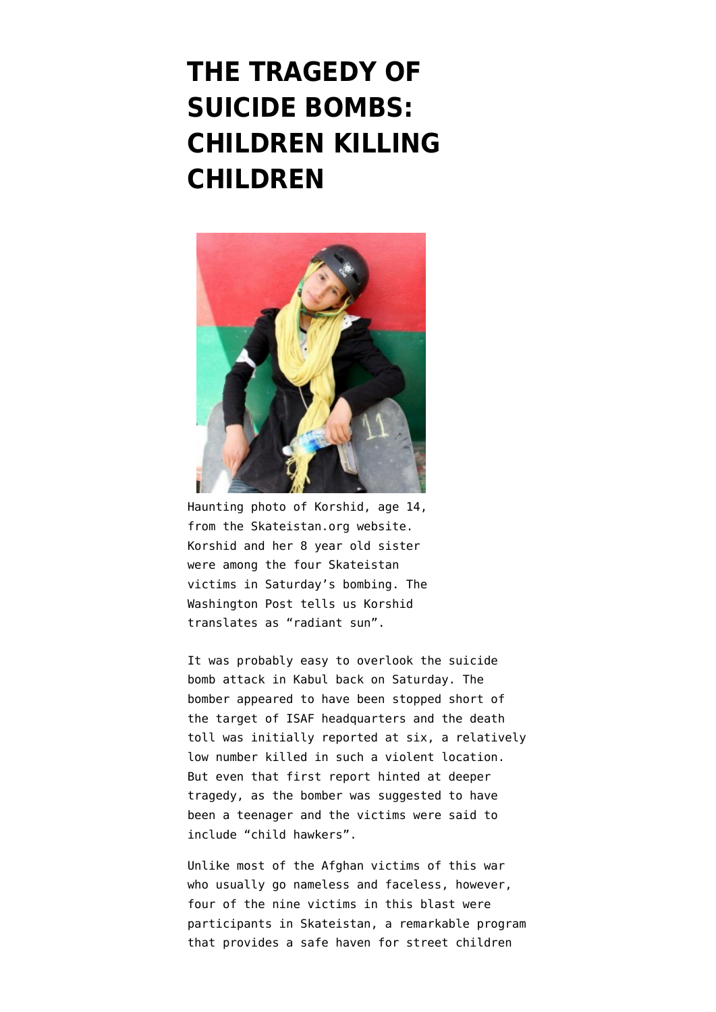## **[THE TRAGEDY OF](https://www.emptywheel.net/2012/09/14/the-tragedy-of-suicide-bombs-children-killing-children/) [SUICIDE BOMBS:](https://www.emptywheel.net/2012/09/14/the-tragedy-of-suicide-bombs-children-killing-children/) [CHILDREN KILLING](https://www.emptywheel.net/2012/09/14/the-tragedy-of-suicide-bombs-children-killing-children/) [CHILDREN](https://www.emptywheel.net/2012/09/14/the-tragedy-of-suicide-bombs-children-killing-children/)**



Haunting photo of Korshid, age 14, from the Skateistan.org website. Korshid and her 8 year old sister were among the four Skateistan victims in Saturday's bombing. The Washington Post tells us Korshid translates as "radiant sun".

It was probably easy to overlook the suicide bomb attack in Kabul back on Saturday. The bomber appeared to have been stopped short of the target of ISAF headquarters and the [death](http://dawn.com/2012/09/08/teen-bomber-kills-six-in-kabul-officials/) [toll was initially reported at six,](http://dawn.com/2012/09/08/teen-bomber-kills-six-in-kabul-officials/) a relatively low number killed in such a violent location. But even that first report hinted at deeper tragedy, as the bomber was suggested to have been a teenager and the victims were said to include "child hawkers".

Unlike most of the Afghan victims of this war who usually go nameless and faceless, however, four of the nine victims in this blast were participants in [Skateistan,](http://skateistan.org/) a remarkable program that provides a safe haven for street children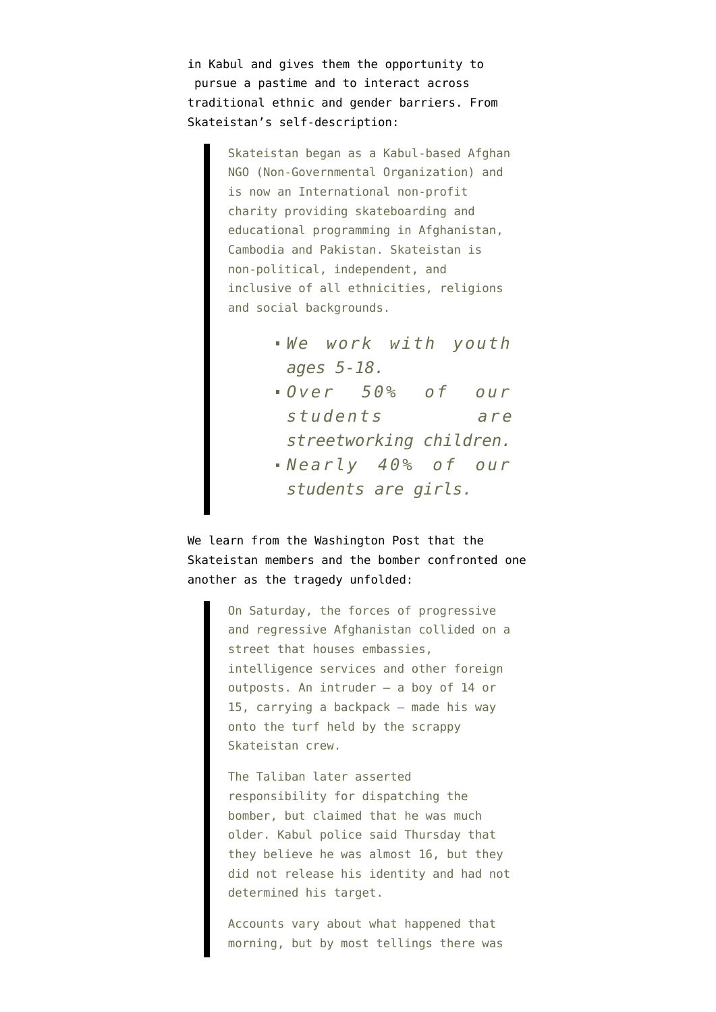in Kabul and gives them the opportunity to pursue a pastime and to interact across traditional ethnic and gender barriers. From Skateistan's [self-description](http://skateistan.org/content/our-story):

> Skateistan began as a Kabul-based Afghan NGO (Non-Governmental Organization) and is now an International non-profit charity providing skateboarding and educational programming in Afghanistan, Cambodia and Pakistan. Skateistan is non-political, independent, and inclusive of all ethnicities, religions and social backgrounds.

- *We work with youth ages 5-18.*
- *Over 50% of our students are streetworking children. Nearly 40% of our*

*students are girls.*

We learn from the [Washington Post](http://www.washingtonpost.com/world/war-zones/friends-mourn-four-young-skateboarders-killed-in-afghan-suicide-blast/2012/09/13/659d90d6-fde1-11e1-98c6-ec0a0a93f8eb_story.html) that the Skateistan members and the bomber confronted one another as the tragedy unfolded:

> On Saturday, the forces of progressive and regressive Afghanistan collided on a street that houses embassies, intelligence services and other foreign outposts. An intruder — a boy of 14 or 15, carrying a backpack — made his way onto the turf held by the scrappy Skateistan crew.

> The Taliban later asserted responsibility for dispatching the bomber, but claimed that he was much older. Kabul police said Thursday that they believe he was almost 16, but they did not release his identity and had not determined his target.

Accounts vary about what happened that morning, but by most tellings there was